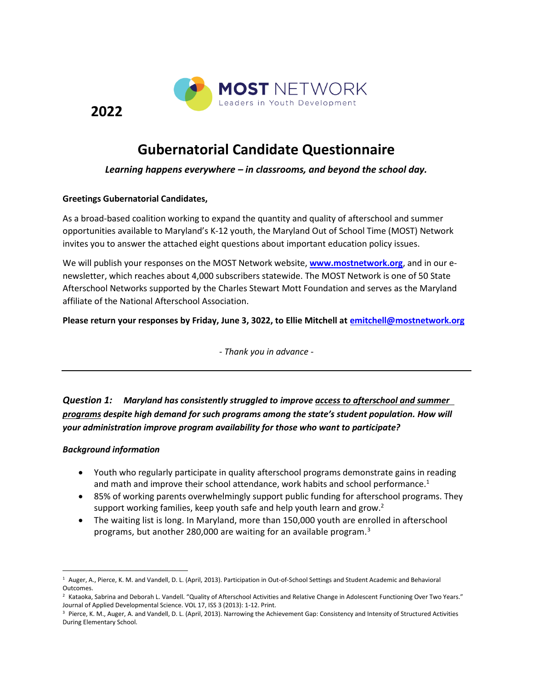

**Gubernatorial Candidate Questionnaire**

#### *Learning happens everywhere – in classrooms, and beyond the school day.*

#### **Greetings Gubernatorial Candidates,**

**2022** 

As a broad-based coalition working to expand the quantity and quality of afterschool and summer opportunities available to Maryland's K-12 youth, the Maryland Out of School Time (MOST) Network invites you to answer the attached eight questions about important education policy issues.

We will publish your responses on the MOST Network website, **[www.mostnetwork.org](http://www.mostnetwork.org/)**, and in our enewsletter, which reaches about 4,000 subscribers statewide. The MOST Network is one of 50 State Afterschool Networks supported by the Charles Stewart Mott Foundation and serves as the Maryland affiliate of the National Afterschool Association.

**Please return your responses by Friday, June 3, 3022, to Ellie Mitchell at [emitchell@mostnetwork.org](mailto:emitchell@mostnetwork.org)**

*- Thank you in advance -*

*Question 1: Maryland has consistently struggled to improve access to afterschool and summer programs despite high demand for such programs among the state's student population. How will your administration improve program availability for those who want to participate?* 

#### *Background information*

- Youth who regularly participate in quality afterschool programs demonstrate gains in reading and math and improve their school attendance, work habits and school performance.<sup>1</sup>
- 85% of working parents overwhelmingly support public funding for afterschool programs. They support working families, keep youth safe and help youth learn and grow.<sup>2</sup>
- The waiting list is long. In Maryland, more than 150,000 youth are enrolled in afterschool programs, but another 280,000 are waiting for an available program.<sup>3</sup>

<sup>1</sup> Auger, A., Pierce, K. M. and Vandell, D. L. (April, 2013). Participation in Out-of-School Settings and Student Academic and Behavioral Outcomes.

<sup>&</sup>lt;sup>2</sup> Kataoka, Sabrina and Deborah L. Vandell. "Quality of Afterschool Activities and Relative Change in Adolescent Functioning Over Two Years." Journal of Applied Developmental Science. VOL 17, ISS 3 (2013): 1-12. Print.

<sup>&</sup>lt;sup>3</sup> Pierce, K. M., Auger, A. and Vandell, D. L. (April, 2013). Narrowing the Achievement Gap: Consistency and Intensity of Structured Activities During Elementary School.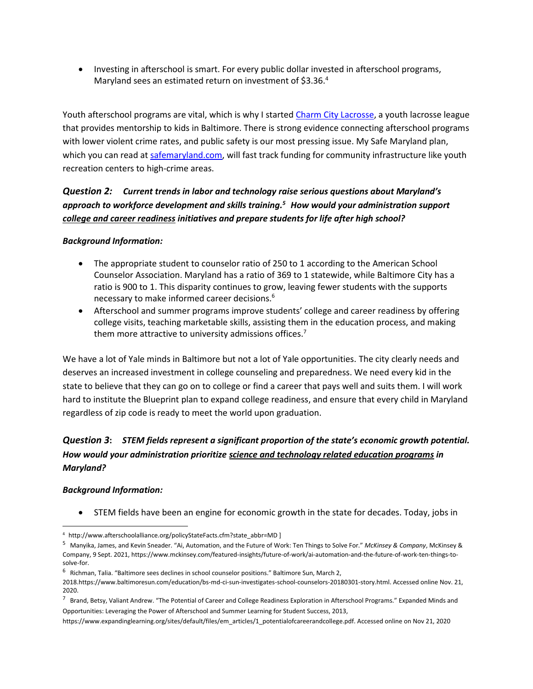• Investing in afterschool is smart. For every public dollar invested in afterschool programs, Maryland sees an estimated return on investment of \$3.36.<sup>4</sup>

Youth afterschool programs are vital, which is why I started [Charm City Lacrosse,](https://www.youtube.com/watch?v=hQLDUZMiY8Y) a youth lacrosse league that provides mentorship to kids in Baltimore. There is strong evidence connecting afterschool programs with lower violent crime rates, and public safety is our most pressing issue. My Safe Maryland plan, which you can read a[t safemaryland.com,](http://safemaryland.com/) will fast track funding for community infrastructure like youth recreation centers to high-crime areas.

# *Question 2: Current trends in labor and technology raise serious questions about Maryland's approach to workforce development and skills training. <sup>5</sup> How would your administration support college and career readiness initiatives and prepare students for life after high school?*

#### *Background Information:*

- The appropriate student to counselor ratio of 250 to 1 according to the American School Counselor Association. Maryland has a ratio of 369 to 1 statewide, while Baltimore City has a ratio is 900 to 1. This disparity continues to grow, leaving fewer students with the supports necessary to make informed career decisions.<sup>6</sup>
- Afterschool and summer programs improve students' college and career readiness by offering college visits, teaching marketable skills, assisting them in the education process, and making them more attractive to university admissions offices.<sup>7</sup>

We have a lot of Yale minds in Baltimore but not a lot of Yale opportunities. The city clearly needs and deserves an increased investment in college counseling and preparedness. We need every kid in the state to believe that they can go on to college or find a career that pays well and suits them. I will work hard to institute the Blueprint plan to expand college readiness, and ensure that every child in Maryland regardless of zip code is ready to meet the world upon graduation.

# *Question 3***:** *STEM fields represent a significant proportion of the state's economic growth potential. How would your administration prioritize science and technology related education programs in Maryland?*

#### *Background Information:*

• STEM fields have been an engine for economic growth in the state for decades. Today, jobs in

<sup>4</sup> http://www.afterschoolalliance.org/policyStateFacts.cfm?state\_abbr=MD ]

<sup>5</sup> Manyika, James, and Kevin Sneader. "Ai, Automation, and the Future of Work: Ten Things to Solve For." *McKinsey & Company*, McKinsey & Company, 9 Sept. 2021, https://www.mckinsey.com/featured-insights/future-of-work/ai-automation-and-the-future-of-work-ten-things-tosolve-for.

<sup>&</sup>lt;sup>6</sup> Richman, Talia. "Baltimore sees declines in school counselor positions." Baltimore Sun, March 2,

<sup>2018.</sup>https://www.baltimoresun.com/education/bs-md-ci-sun-investigates-school-counselors-20180301-story.html. Accessed online Nov. 21, 2020.

<sup>&</sup>lt;sup>7</sup> Brand, Betsy, Valiant Andrew. "The Potential of Career and College Readiness Exploration in Afterschool Programs." Expanded Minds and Opportunities: Leveraging the Power of Afterschool and Summer Learning for Student Success, 2013,

https://www.expandinglearning.org/sites/default/files/em\_articles/1\_potentialofcareerandcollege.pdf. Accessed online on Nov 21, 2020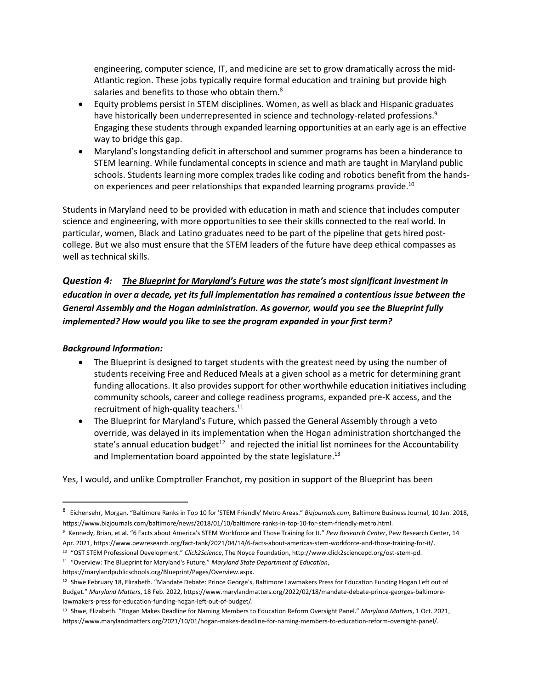engineering, computer science, IT, and medicine are set to grow dramatically across the mid-Atlantic region. These jobs typically require formal education and training but provide high salaries and benefits to those who obtain them.<sup>8</sup>

- Equity problems persist in STEM disciplines. Women, as well as black and Hispanic graduates have historically been underrepresented in science and technology-related professions.<sup>9</sup> Engaging these students through expanded learning opportunities at an early age is an effective way to bridge this gap.
- Maryland's longstanding deficit in afterschool and summer programs has been a hinderance to STEM learning. While fundamental concepts in science and math are taught in Maryland public schools. Students learning more complex trades like coding and robotics benefit from the handson experiences and peer relationships that expanded learning programs provide.<sup>10</sup>

Students in Maryland need to be provided with education in math and science that includes computer science and engineering, with more opportunities to see their skills connected to the real world. In particular, women, Black and Latino graduates need to be part of the pipeline that gets hired postcollege. But we also must ensure that the STEM leaders of the future have deep ethical compasses as well as technical skills.

*Question 4: The Blueprint for Maryland's Future was the state's most significant investment in education in over a decade, yet its full implementation has remained a contentious issue between the General Assembly and the Hogan administration. As governor, would you see the Blueprint fully implemented? How would you like to see the program expanded in your first term?* 

#### *Background Information:*

- The Blueprint is designed to target students with the greatest need by using the number of students receiving Free and Reduced Meals at a given school as a metric for determining grant funding allocations. It also provides support for other worthwhile education initiatives including community schools, career and college readiness programs, expanded pre-K access, and the recruitment of high-quality teachers.<sup>11</sup>
- The Blueprint for Maryland's Future, which passed the General Assembly through a veto override, was delayed in its implementation when the Hogan administration shortchanged the state's annual education budget<sup>12</sup> and rejected the initial list nominees for the Accountability and Implementation board appointed by the state legislature.<sup>13</sup>

Yes, I would, and unlike Comptroller Franchot, my position in support of the Blueprint has been

https://marylandpublicschools.org/Blueprint/Pages/Overview.aspx.

<sup>8</sup> Eichensehr, Morgan. "Baltimore Ranks in Top 10 for 'STEM Friendly' Metro Areas." *Bizjournals.com*, Baltimore Business Journal, 10 Jan. 2018, https://www.bizjournals.com/baltimore/news/2018/01/10/baltimore-ranks-in-top-10-for-stem-friendly-metro.html.

<sup>9</sup> Kennedy, Brian, et al. "6 Facts about America's STEM Workforce and Those Training for It." *Pew Research Center*, Pew Research Center, 14 Apr. 2021, https://www.pewresearch.org/fact-tank/2021/04/14/6-facts-about-americas-stem-workforce-and-those-training-for-it/.

<sup>10</sup> "OST STEM Professional Development." *Click2Science*, The Noyce Foundation, http://www.click2sciencepd.org/ost-stem-pd. <sup>11</sup> "Overview: The Blueprint for Maryland's Future." *Maryland State Department of Education*,

<sup>12</sup> Shwe February 18, Elizabeth. "Mandate Debate: Prince George's, Baltimore Lawmakers Press for Education Funding Hogan Left out of Budget." *Maryland Matters*, 18 Feb. 2022, https://www.marylandmatters.org/2022/02/18/mandate-debate-prince-georges-baltimorelawmakers-press-for-education-funding-hogan-left-out-of-budget/.

<sup>13</sup> Shwe, Elizabeth. "Hogan Makes Deadline for Naming Members to Education Reform Oversight Panel." *Maryland Matters*, 1 Oct. 2021, https://www.marylandmatters.org/2021/10/01/hogan-makes-deadline-for-naming-members-to-education-reform-oversight-panel/.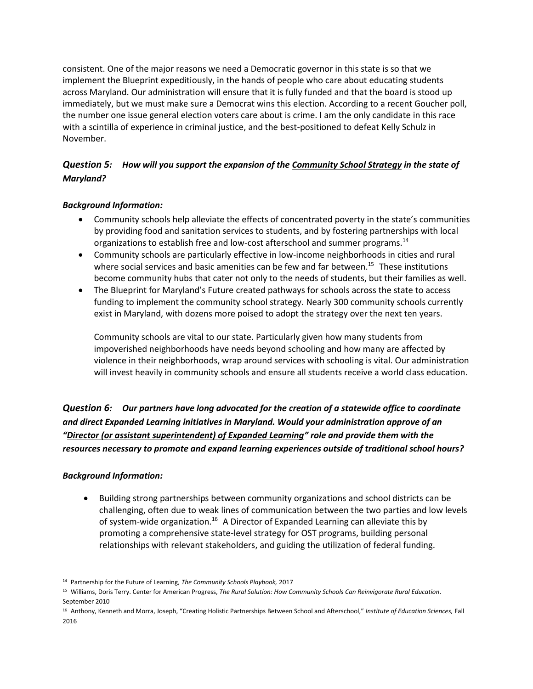consistent. One of the major reasons we need a Democratic governor in this state is so that we implement the Blueprint expeditiously, in the hands of people who care about educating students across Maryland. Our administration will ensure that it is fully funded and that the board is stood up immediately, but we must make sure a Democrat wins this election. According to a recent Goucher poll, the number one issue general election voters care about is crime. I am the only candidate in this race with a scintilla of experience in criminal justice, and the best-positioned to defeat Kelly Schulz in November.

## *Question 5: How will you support the expansion of the Community School Strategy in the state of Maryland?*

## *Background Information:*

- Community schools help alleviate the effects of concentrated poverty in the state's communities by providing food and sanitation services to students, and by fostering partnerships with local organizations to establish free and low-cost afterschool and summer programs.<sup>14</sup>
- Community schools are particularly effective in low-income neighborhoods in cities and rural where social services and basic amenities can be few and far between.<sup>15</sup> These institutions become community hubs that cater not only to the needs of students, but their families as well.
- The Blueprint for Maryland's Future created pathways for schools across the state to access funding to implement the community school strategy. Nearly 300 community schools currently exist in Maryland, with dozens more poised to adopt the strategy over the next ten years.

Community schools are vital to our state. Particularly given how many students from impoverished neighborhoods have needs beyond schooling and how many are affected by violence in their neighborhoods, wrap around services with schooling is vital. Our administration will invest heavily in community schools and ensure all students receive a world class education.

*Question 6: Our partners have long advocated for the creation of a statewide office to coordinate and direct Expanded Learning initiatives in Maryland. Would your administration approve of an "Director (or assistant superintendent) of Expanded Learning" role and provide them with the resources necessary to promote and expand learning experiences outside of traditional school hours?*

## *Background Information:*

• Building strong partnerships between community organizations and school districts can be challenging, often due to weak lines of communication between the two parties and low levels of system-wide organization.<sup>16</sup> A Director of Expanded Learning can alleviate this by promoting a comprehensive state-level strategy for OST programs, building personal relationships with relevant stakeholders, and guiding the utilization of federal funding.

<sup>14</sup> Partnership for the Future of Learning, *The Community Schools Playbook,* 2017

<sup>15</sup> Williams, Doris Terry. Center for American Progress, *The Rural Solution: How Community Schools Can Reinvigorate Rural Education*. September 2010

<sup>16</sup> Anthony, Kenneth and Morra, Joseph, "Creating Holistic Partnerships Between School and Afterschool," *Institute of Education Sciences,* Fall 2016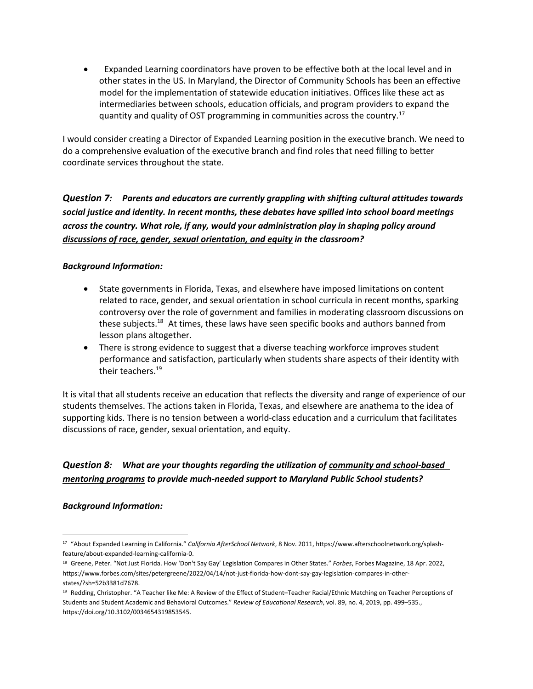• Expanded Learning coordinators have proven to be effective both at the local level and in other states in the US. In Maryland, the Director of Community Schools has been an effective model for the implementation of statewide education initiatives. Offices like these act as intermediaries between schools, education officials, and program providers to expand the quantity and quality of OST programming in communities across the country.<sup>17</sup>

I would consider creating a Director of Expanded Learning position in the executive branch. We need to do a comprehensive evaluation of the executive branch and find roles that need filling to better coordinate services throughout the state.

*Question 7: Parents and educators are currently grappling with shifting cultural attitudes towards social justice and identity. In recent months, these debates have spilled into school board meetings across the country. What role, if any, would your administration play in shaping policy around discussions of race, gender, sexual orientation, and equity in the classroom?*

#### *Background Information:*

- State governments in Florida, Texas, and elsewhere have imposed limitations on content related to race, gender, and sexual orientation in school curricula in recent months, sparking controversy over the role of government and families in moderating classroom discussions on these subjects.<sup>18</sup> At times, these laws have seen specific books and authors banned from lesson plans altogether.
- There is strong evidence to suggest that a diverse teaching workforce improves student performance and satisfaction, particularly when students share aspects of their identity with their teachers.<sup>19</sup>

It is vital that all students receive an education that reflects the diversity and range of experience of our students themselves. The actions taken in Florida, Texas, and elsewhere are anathema to the idea of supporting kids. There is no tension between a world-class education and a curriculum that facilitates discussions of race, gender, sexual orientation, and equity.

# *Question 8: What are your thoughts regarding the utilization of community and school-based mentoring programs to provide much-needed support to Maryland Public School students?*

## *Background Information:*

<sup>17</sup> "About Expanded Learning in California." *California AfterSchool Network*, 8 Nov. 2011, https://www.afterschoolnetwork.org/splashfeature/about-expanded-learning-california-0.

<sup>18</sup> Greene, Peter. "Not Just Florida. How 'Don't Say Gay' Legislation Compares in Other States." *Forbes*, Forbes Magazine, 18 Apr. 2022, https://www.forbes.com/sites/petergreene/2022/04/14/not-just-florida-how-dont-say-gay-legislation-compares-in-otherstates/?sh=52b3381d7678.

<sup>19</sup> Redding, Christopher. "A Teacher like Me: A Review of the Effect of Student–Teacher Racial/Ethnic Matching on Teacher Perceptions of Students and Student Academic and Behavioral Outcomes." *Review of Educational Research*, vol. 89, no. 4, 2019, pp. 499–535., https://doi.org/10.3102/0034654319853545.